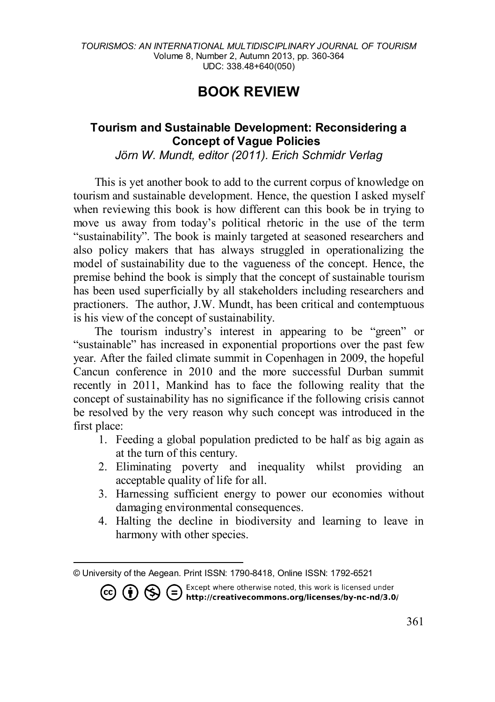## **BOOK REVIEW**

## **Tourism and Sustainable Development: Reconsidering a Concept of Vague Policies[1](#page-0-0)**

*Jörn W. Mundt, editor (2011). Erich Schmidr Verlag*

This is yet another book to add to the current corpus of knowledge on tourism and sustainable development. Hence, the question I asked myself when reviewing this book is how different can this book be in trying to move us away from today's political rhetoric in the use of the term "sustainability". The book is mainly targeted at seasoned researchers and also policy makers that has always struggled in operationalizing the model of sustainability due to the vagueness of the concept. Hence, the premise behind the book is simply that the concept of sustainable tourism has been used superficially by all stakeholders including researchers and practioners. The author, J.W. Mundt, has been critical and contemptuous is his view of the concept of sustainability.

The tourism industry's interest in appearing to be "green" or "sustainable" has increased in exponential proportions over the past few year. After the failed climate summit in Copenhagen in 2009, the hopeful Cancun conference in 2010 and the more successful Durban summit recently in 2011, Mankind has to face the following reality that the concept of sustainability has no significance if the following crisis cannot be resolved by the very reason why such concept was introduced in the first place:

- 1. Feeding a global population predicted to be half as big again as at the turn of this century.
- 2. Eliminating poverty and inequality whilst providing an acceptable quality of life for all.
- 3. Harnessing sufficient energy to power our economies without damaging environmental consequences.
- 4. Halting the decline in biodiversity and learning to leave in harmony with other species.

**CC (i)**  $\bigodot$  **C**  $\bigodot$  Except where otherwise noted, this work is licensed under **http://creativecommons.org/licenses/by-nc-nd/3.0/** 

<span id="page-0-0"></span> $\overline{\phantom{a}}$ © University of the Aegean. Print ISSN: 1790-8418, Online ISSN: 1792-6521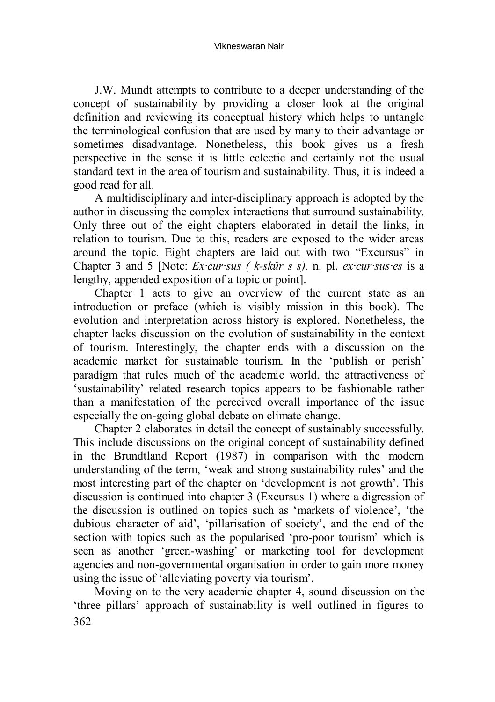Vikneswaran Nair

J.W. Mundt attempts to contribute to a deeper understanding of the concept of sustainability by providing a closer look at the original definition and reviewing its conceptual history which helps to untangle the terminological confusion that are used by many to their advantage or sometimes disadvantage. Nonetheless, this book gives us a fresh perspective in the sense it is little eclectic and certainly not the usual standard text in the area of tourism and sustainability. Thus, it is indeed a good read for all.

A multidisciplinary and inter-disciplinary approach is adopted by the author in discussing the complex interactions that surround sustainability. Only three out of the eight chapters elaborated in detail the links, in relation to tourism. Due to this, readers are exposed to the wider areas around the topic. Eight chapters are laid out with two "Excursus" in Chapter 3 and 5 [Note: *Ex·cur·sus ( k-skûr s s).* n. pl. *ex·cur·sus·es* is a lengthy, appended exposition of a topic or point].

Chapter 1 acts to give an overview of the current state as an introduction or preface (which is visibly mission in this book). The evolution and interpretation across history is explored. Nonetheless, the chapter lacks discussion on the evolution of sustainability in the context of tourism. Interestingly, the chapter ends with a discussion on the academic market for sustainable tourism. In the 'publish or perish' paradigm that rules much of the academic world, the attractiveness of 'sustainability' related research topics appears to be fashionable rather than a manifestation of the perceived overall importance of the issue especially the on-going global debate on climate change.

Chapter 2 elaborates in detail the concept of sustainably successfully. This include discussions on the original concept of sustainability defined in the Brundtland Report (1987) in comparison with the modern understanding of the term, 'weak and strong sustainability rules' and the most interesting part of the chapter on 'development is not growth'. This discussion is continued into chapter 3 (Excursus 1) where a digression of the discussion is outlined on topics such as 'markets of violence', 'the dubious character of aid', 'pillarisation of society', and the end of the section with topics such as the popularised 'pro-poor tourism' which is seen as another 'green-washing' or marketing tool for development agencies and non-governmental organisation in order to gain more money using the issue of 'alleviating poverty via tourism'.

362 Moving on to the very academic chapter 4, sound discussion on the 'three pillars' approach of sustainability is well outlined in figures to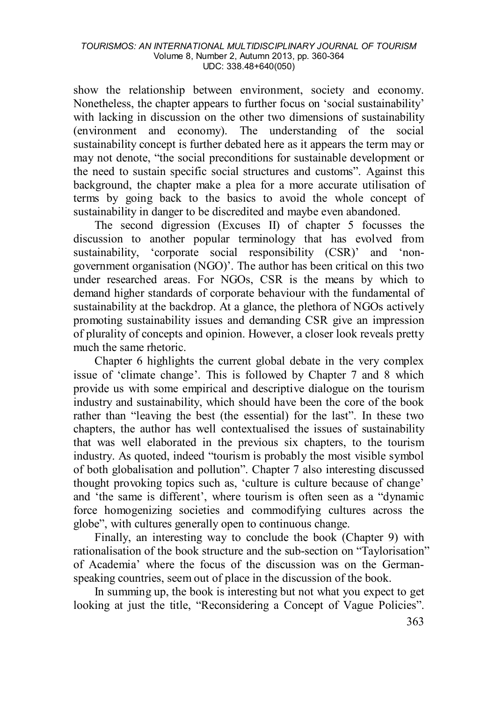## *TOURISMOS: AN INTERNATIONAL MULTIDISCIPLINARY JOURNAL OF TOURISM* Volume 8, Number 2, Autumn 2013, pp. 360-364 UDC: 338.48+640(050)

show the relationship between environment, society and economy. Nonetheless, the chapter appears to further focus on 'social sustainability' with lacking in discussion on the other two dimensions of sustainability (environment and economy). The understanding of the social sustainability concept is further debated here as it appears the term may or may not denote, "the social preconditions for sustainable development or the need to sustain specific social structures and customs". Against this background, the chapter make a plea for a more accurate utilisation of terms by going back to the basics to avoid the whole concept of sustainability in danger to be discredited and maybe even abandoned.

The second digression (Excuses II) of chapter 5 focusses the discussion to another popular terminology that has evolved from sustainability, 'corporate social responsibility (CSR)' and 'nongovernment organisation (NGO)'. The author has been critical on this two under researched areas. For NGOs, CSR is the means by which to demand higher standards of corporate behaviour with the fundamental of sustainability at the backdrop. At a glance, the plethora of NGOs actively promoting sustainability issues and demanding CSR give an impression of plurality of concepts and opinion. However, a closer look reveals pretty much the same rhetoric.

Chapter 6 highlights the current global debate in the very complex issue of 'climate change'. This is followed by Chapter 7 and 8 which provide us with some empirical and descriptive dialogue on the tourism industry and sustainability, which should have been the core of the book rather than "leaving the best (the essential) for the last". In these two chapters, the author has well contextualised the issues of sustainability that was well elaborated in the previous six chapters, to the tourism industry. As quoted, indeed "tourism is probably the most visible symbol of both globalisation and pollution". Chapter 7 also interesting discussed thought provoking topics such as, 'culture is culture because of change' and 'the same is different', where tourism is often seen as a "dynamic force homogenizing societies and commodifying cultures across the globe", with cultures generally open to continuous change.

Finally, an interesting way to conclude the book (Chapter 9) with rationalisation of the book structure and the sub-section on "Taylorisation" of Academia' where the focus of the discussion was on the Germanspeaking countries, seem out of place in the discussion of the book.

In summing up, the book is interesting but not what you expect to get looking at just the title, "Reconsidering a Concept of Vague Policies".